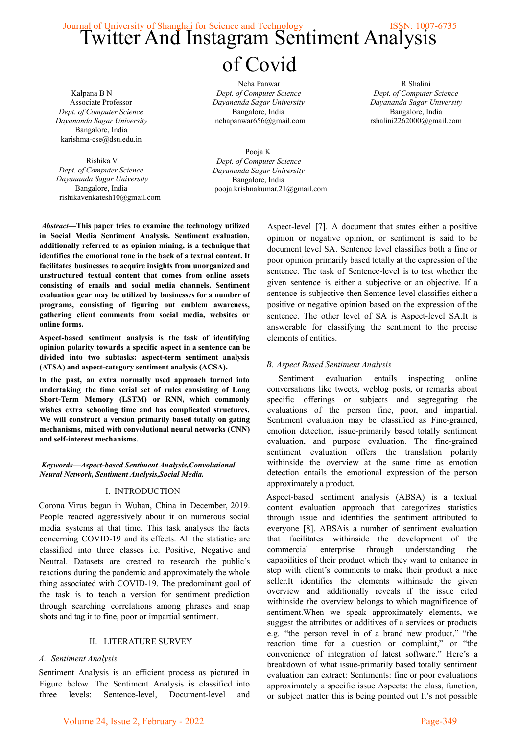# Journal of University of Shanghai for Science and Technology<br>Twitter And Instagram Sentiment Analysis of Covid

Kalpana B N Associate Professor *Dept. of Computer Science Dayananda Sagar University* Bangalore, India karishma-cse@dsu.edu.in

Rishika V *Dept. of Computer Science Dayananda Sagar University* Bangalore, India rishikavenkatesh10@gmail.com

Neha Panwar *Dept. of Computer Science Dayananda Sagar University* Bangalore, India nehapanwar656@gmail.com

R Shalini *Dept. of Computer Science Dayananda Sagar University* Bangalore, India rshalini2262000@gmail.com

Pooja K *Dept. of Computer Science Dayananda Sagar University* Bangalore, India pooja.krishnakumar.21@gmail.com

*Abstract***—This paper tries to examine the technology utilized in Social Media Sentiment Analysis. Sentiment evaluation, additionally referred to as opinion mining, is a technique that identifies the emotional tone in the back of a textual content. It facilitates businesses to acquire insights from unorganized and unstructured textual content that comes from online assets consisting of emails and social media channels. Sentiment evaluation gear may be utilized by businesses for a number of programs, consisting of figuring out emblem awareness, gathering client comments from social media, websites or online forms.**

**Aspect-based sentiment analysis is the task of identifying opinion polarity towards a specific aspect in a sentence can be divided into two subtasks: aspect-term sentiment analysis (ATSA) and aspect-category sentiment analysis (ACSA).**

**In the past, an extra normally used approach turned into undertaking the time serial set of rules consisting of Long Short-Term Memory (LSTM) or RNN, which commonly wishes extra schooling time and has complicated structures. We will construct a version primarily based totally on gating mechanisms, mixed with convolutional neural networks (CNN) and self-interest mechanisms.**

### *Keywords—Aspect-based Sentiment Analysis,Convolutional Neural Network, Sentiment Analysis,Social Media.*

# I. INTRODUCTION

Corona Virus began in Wuhan, China in December, 2019. People reacted aggressively about it on numerous social media systems at that time. This task analyses the facts concerning COVID-19 and its effects. All the statistics are classified into three classes i.e. Positive, Negative and Neutral. Datasets are created to research the public's reactions during the pandemic and approximately the whole thing associated with COVID-19. The predominant goal of the task is to teach a version for sentiment prediction through searching correlations among phrases and snap shots and tag it to fine, poor or impartial sentiment.

# II. LITERATURE SURVEY

#### *A. Sentiment Analysis*

Sentiment Analysis is an efficient process as pictured in Figure below. The Sentiment Analysis is classified into three levels: Sentence-level, Document-level and Aspect-level [7]. A document that states either a positive opinion or negative opinion, or sentiment is said to be document level SA. Sentence level classifies both a fine or poor opinion primarily based totally at the expression of the sentence. The task of Sentence-level is to test whether the given sentence is either a subjective or an objective. If a sentence is subjective then Sentence-level classifies either a positive or negative opinion based on the expression of the sentence. The other level of SA is Aspect-level SA.It is answerable for classifying the sentiment to the precise elements of entities.

# *B. Aspect Based Sentiment Analysis*

Sentiment evaluation entails inspecting online conversations like tweets, weblog posts, or remarks about specific offerings or subjects and segregating the evaluations of the person fine, poor, and impartial. Sentiment evaluation may be classified as Fine-grained, emotion detection, issue-primarily based totally sentiment evaluation, and purpose evaluation. The fine-grained sentiment evaluation offers the translation polarity withinside the overview at the same time as emotion detection entails the emotional expression of the person approximately a product.

Aspect-based sentiment analysis (ABSA) is a textual content evaluation approach that categorizes statistics through issue and identifies the sentiment attributed to everyone [8]. ABSAis a number of sentiment evaluation that facilitates withinside the development of the commercial enterprise through understanding the capabilities of their product which they want to enhance in step with client's comments to make their product a nice seller.It identifies the elements withinside the given overview and additionally reveals if the issue cited withinside the overview belongs to which magnificence of sentiment.When we speak approximately elements, we suggest the attributes or additives of a services or products e.g. "the person revel in of a brand new product," "the reaction time for a question or complaint," or "the convenience of integration of latest software." Here's a breakdown of what issue-primarily based totally sentiment evaluation can extract: Sentiments: fine or poor evaluations approximately a specific issue Aspects: the class, function, or subject matter this is being pointed out It's not possible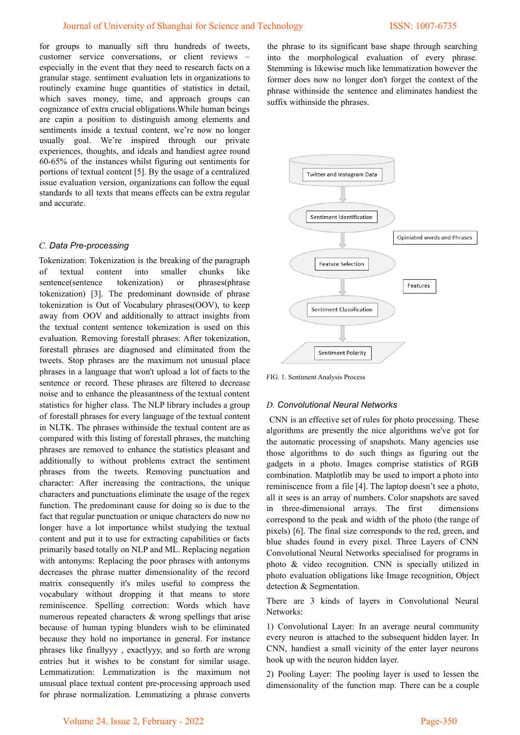for groups to manually sift thru hundreds of tweets, customer service conversations, or client reviews – especially in the event that they need to research facts on a granular stage. sentiment evaluation lets in organizations to routinely examine huge quantities of statistics in detail, which saves money, time, and approach groups can cognizance of extra crucial obligations.While human beings are capin a position to distinguish among elements and sentiments inside a textual content, we're now no longer usually goal. We're inspired through our private experiences, thoughts, and ideals and handiest agree round 60-65% of the instances whilst figuring out sentiments for portions of textual content [5]. By the usage of a centralized issue evaluation version, organizations can follow the equal standards to all texts that means effects can be extra regular and accurate.

# *C. Data Pre-processing*

Tokenization: Tokenization is the breaking of the paragraph of textual content into smaller chunks like sentence(sentence tokenization) or phrases(phrase tokenization) [3]. The predominant downside of phrase tokenization is Out of Vocabulary phrases(OOV), to keep away from OOV and additionally to attract insights from the textual content sentence tokenization is used on this evaluation. Removing forestall phrases: After tokenization, forestall phrases are diagnosed and eliminated from the tweets. Stop phrases are the maximum not unusual place phrases in a language that won't upload a lot of facts to the sentence or record. These phrases are filtered to decrease noise and to enhance the pleasantness of the textual content statistics for higher class. The NLP library includes a group of forestall phrases for every language of the textual content in NLTK. The phrases withinside the textual content are as compared with this listing of forestall phrases, the matching phrases are removed to enhance the statistics pleasant and additionally to without problems extract the sentiment phrases from the tweets. Removing punctuation and character: After increasing the contractions, the unique characters and punctuations eliminate the usage of the regex function. The predominant cause for doing so is due to the fact that regular punctuation or unique characters do now no longer have a lot importance whilst studying the textual content and put it to use for extracting capabilities or facts primarily based totally on NLP and ML. Replacing negation with antonyms: Replacing the poor phrases with antonyms decreases the phrase matter dimensionality of the record matrix consequently it's miles useful to compress the vocabulary without dropping it that means to store reminiscence. Spelling correction: Words which have numerous repeated characters & wrong spellings that arise because of human typing blunders wish to be eliminated because they hold no importance in general. For instance phrases like finallyyy , exactlyyy, and so forth are wrong entries but it wishes to be constant for similar usage. Lemmatization: Lemmatization is the maximum not unusual place textual content pre-processing approach used for phrase normalization. Lemmatizing a phrase converts the phrase to its significant base shape through searching into the morphological evaluation of every phrase. Stemming is likewise much like lemmatization however the former does now no longer don't forget the context of the phrase withinside the sentence and eliminates handiest the suffix withinside the phrases.



FIG. 1. Sentiment Analysis Process

#### *D. Convolutional Neural Networks*

CNN is an effective set of rules for photo processing. These algorithms are presently the nice algorithms we've got for the automatic processing of snapshots. Many agencies use those algorithms to do such things as figuring out the gadgets in a photo. Images comprise statistics of RGB combination. Matplotlib may be used to import a photo into reminiscence from a file [4]. The laptop doesn't see a photo, all it sees is an array of numbers. Color snapshots are saved in three-dimensional arrays. The first dimensions correspond to the peak and width of the photo (the range of pixels) [6]. The final size corresponds to the red, green, and blue shades found in every pixel. Three Layers of CNN Convolutional Neural Networks specialised for programs in photo & video recognition. CNN is specially utilized in photo evaluation obligations like Image recognition, Object detection & Segmentation.

There are 3 kinds of layers in Convolutional Neural Networks:

1) Convolutional Layer: In an average neural community every neuron is attached to the subsequent hidden layer. In CNN, handiest a small vicinity of the enter layer neurons hook up with the neuron hidden layer.

2) Pooling Layer: The pooling layer is used to lessen the dimensionality of the function map. There can be a couple